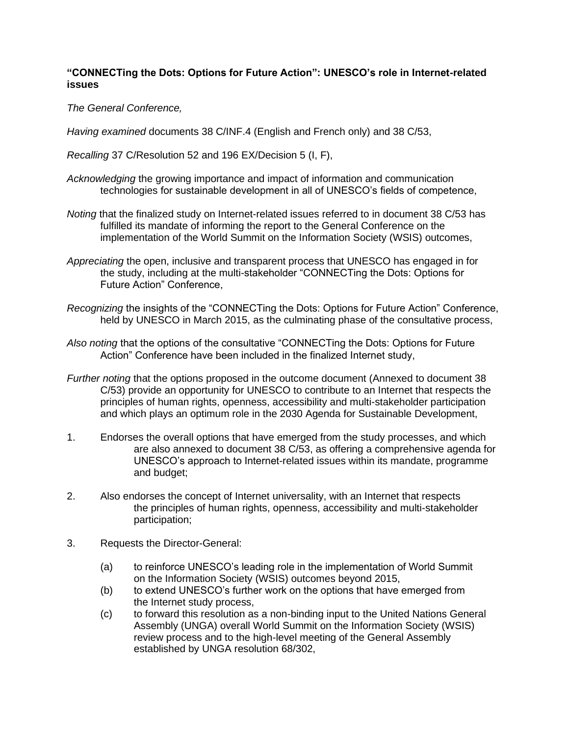## **"CONNECTing the Dots: Options for Future Action": UNESCO's role in Internet-related issues**

*The General Conference,* 

*Having examined* documents 38 C/INF.4 (English and French only) and 38 C/53,

*Recalling* 37 C/Resolution 52 and 196 EX/Decision 5 (I, F),

*Acknowledging* the growing importance and impact of information and communication technologies for sustainable development in all of UNESCO's fields of competence,

- *Noting* that the finalized study on Internet-related issues referred to in document 38 C/53 has fulfilled its mandate of informing the report to the General Conference on the implementation of the World Summit on the Information Society (WSIS) outcomes,
- *Appreciating* the open, inclusive and transparent process that UNESCO has engaged in for the study, including at the multi-stakeholder "CONNECTing the Dots: Options for Future Action" Conference,
- *Recognizing* the insights of the "CONNECTing the Dots: Options for Future Action" Conference, held by UNESCO in March 2015, as the culminating phase of the consultative process,
- *Also noting* that the options of the consultative "CONNECTing the Dots: Options for Future Action" Conference have been included in the finalized Internet study,
- *Further noting* that the options proposed in the outcome document (Annexed to document 38 C/53) provide an opportunity for UNESCO to contribute to an Internet that respects the principles of human rights, openness, accessibility and multi-stakeholder participation and which plays an optimum role in the 2030 Agenda for Sustainable Development,
- 1. Endorses the overall options that have emerged from the study processes, and which are also annexed to document 38 C/53, as offering a comprehensive agenda for UNESCO's approach to Internet-related issues within its mandate, programme and budget;
- 2. Also endorses the concept of Internet universality, with an Internet that respects the principles of human rights, openness, accessibility and multi-stakeholder participation;
- 3. Requests the Director-General:
	- (a) to reinforce UNESCO's leading role in the implementation of World Summit on the Information Society (WSIS) outcomes beyond 2015,
	- (b) to extend UNESCO's further work on the options that have emerged from the Internet study process,
	- (c) to forward this resolution as a non-binding input to the United Nations General Assembly (UNGA) overall World Summit on the Information Society (WSIS) review process and to the high-level meeting of the General Assembly established by UNGA resolution 68/302,